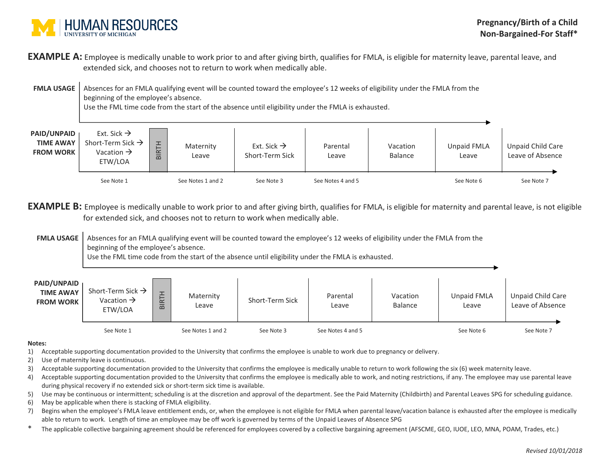

**EXAMPLE A:** Employee is medically unable to work prior to and after giving birth, qualifies for FMLA, is eligible for maternity leave, parental leave, and extended sick, and chooses not to return to work when medically able.

**FMLA USAGE** Absences for an FMLA qualifying event will be counted toward the employee's 12 weeks of eligibility under the FMLA from the beginning of the employee's absence. Use the FML time code from the start of the absence until eligibility under the FMLA is exhausted.



**EXAMPLE B:** Employee is medically unable to work prior to and after giving birth, qualifies for FMLA, is eligible for maternity and parental leave, is not eligible for extended sick, and chooses not to return to work when medically able.

**FMLA USAGE** Absences for an FMLA qualifying event will be counted toward the employee's 12 weeks of eligibility under the FMLA from the beginning of the employee's absence. Use the FML time code from the start of the absence until eligibility under the FMLA is exhausted.

| PAID/UNPAID<br><b>TIME AWAY</b><br><b>FROM WORK</b> | Short-Term Sick $\rightarrow$<br>Vacation $\rightarrow$<br>ETW/LOA | $\mathbf{r}$<br><b>__</b><br>⊢<br>$\simeq$<br>$\overline{\mathbf{B}}$ | Maternity<br>Leave | Short-Term Sick | Parental<br>Leave | Vacation<br>Balance | Unpaid FMLA<br>Leave | Unpaid Child Care<br>Leave of Absence |
|-----------------------------------------------------|--------------------------------------------------------------------|-----------------------------------------------------------------------|--------------------|-----------------|-------------------|---------------------|----------------------|---------------------------------------|
|                                                     | See Note 1                                                         |                                                                       | See Notes 1 and 2  | See Note 3      | See Notes 4 and 5 |                     | See Note 6           | See Note 7                            |

## **Notes:**

- 1) Acceptable supporting documentation provided to the University that confirms the employee is unable to work due to pregnancy or delivery.
- 2) Use of maternity leave is continuous.
- 3) Acceptable supporting documentation provided to the University that confirms the employee is medically unable to return to work following the six (6) week maternity leave.
- 4) Acceptable supporting documentation provided to the University that confirms the employee is medically able to work, and noting restrictions, if any. The employee may use parental leave during physical recovery if no extended sick or short-term sick time is available.
- 5) Use may be continuous or intermittent; scheduling is at the discretion and approval of the department. See the Paid Maternity (Childbirth) and Parental Leaves SPG for scheduling guidance.
- 6) May be applicable when there is stacking of FMLA eligibility.
- 7) Begins when the employee's FMLA leave entitlement ends, or, when the employee is not eligible for FMLA when parental leave/vacation balance is exhausted after the employee is medically able to return to work. Length of time an employee may be off work is governed by terms of the Unpaid Leaves of Absence SPG
- \* The applicable collective bargaining agreement should be referenced for employees covered by a collective bargaining agreement (AFSCME, GEO, IUOE, LEO, MNA, POAM, Trades, etc.)